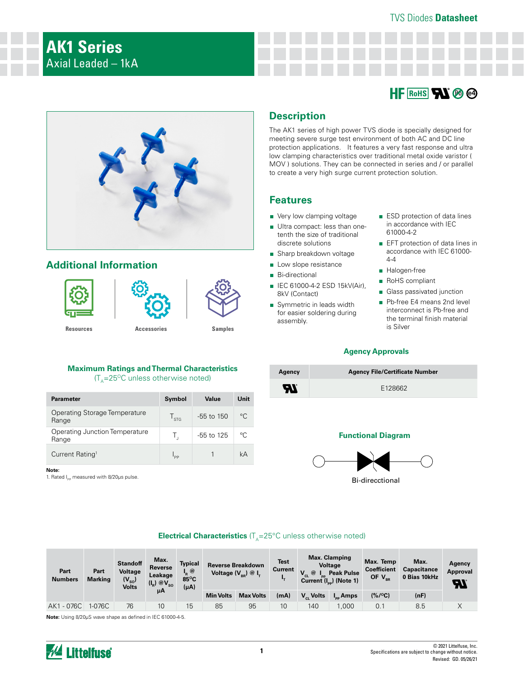#### TVS Diodes **Datasheet**

# **AK1 Series** Axial Leaded – 1kA

# **HF** RoHS **RI** @ @



## **Additional Information**



#### **Maximum Ratings and Thermal Characteristics**   $(T<sub>A</sub>=25<sup>o</sup>C$  unless otherwise noted)

| <b>Parameter</b>                        | Symbol                | Value          | Unit        |
|-----------------------------------------|-----------------------|----------------|-------------|
| Operating Storage Temperature<br>Range  | $\Gamma_{\text{STG}}$ | $-55$ to $150$ | $^{\circ}C$ |
| Operating Junction Temperature<br>Range | Τ.                    | $-55$ to 125   | $\circ$ C   |
| Current Rating <sup>1</sup>             |                       |                | kΑ          |

**Note:**

1. Rated  $I_{\text{pp}}$  measured with 8/20μs pulse.

## **Description**

The AK1 series of high power TVS diode is specially designed for meeting severe surge test environment of both AC and DC line protection applications. It features a very fast response and ultra low clamping characteristics over traditional metal oxide varistor ( MOV ) solutions. They can be connected in series and / or parallel to create a very high surge current protection solution.

### **Features**

- Very low clamping voltage
- Ultra compact: less than onetenth the size of traditional discrete solutions
- Sharp breakdown voltage
- Low slope resistance
- Bi-directional
- IEC 61000-4-2 ESD 15kV(Air), 8kV (Contact)
- Symmetric in leads width for easier soldering during assembly.
- ESD protection of data lines in accordance with IEC 61000-4-2
- EFT protection of data lines in accordance with IEC 61000- 4-4
- Halogen-free
- RoHS compliant
- Glass passivated junction
- Pb-free E4 means 2nd level interconnect is Pb-free and the terminal finish material is Silver

#### **Agency Approvals**

| Agency   | <b>Agency File/Certificate Number</b> |
|----------|---------------------------------------|
| <b>R</b> | F128662                               |

#### **Functional Diagram**



Bi-direcctional

#### **Electrical Characteristics** (T<sub>A</sub>=25°C unless otherwise noted)

| Part<br><b>Numbers</b> | Part<br><b>Marking</b> | <b>Standoff</b><br>Voltage<br>$(V_{\rm so})$<br>Volts | Max.<br>Reverse<br>Leakage<br>$(I_R) @V_{SO}$ | Typical<br>$\mathbf{I}_{\mathbf{R}}$ $\circledcirc$<br>85°C<br>$(\mu A)$ | <b>Reverse Breakdown</b><br>Voltage $(V_{_{RR}})$ @ $I_{T}$ |                  | <b>Max. Clamping</b><br><b>Test</b><br><b>Voltage</b><br><b>Current</b><br>$@I_{_{\text{pp}}}$ Peak Pulse<br>Current $(I_{\text{op}})$ (Note 1) |                    | Max. Temp<br><b>Coefficient</b><br>OF $V_{BR}$ | Max.<br><b>Capacitance</b><br>0 Bias 10kHz | Agency<br><b>Approval</b><br>ЯI |   |
|------------------------|------------------------|-------------------------------------------------------|-----------------------------------------------|--------------------------------------------------------------------------|-------------------------------------------------------------|------------------|-------------------------------------------------------------------------------------------------------------------------------------------------|--------------------|------------------------------------------------|--------------------------------------------|---------------------------------|---|
|                        |                        |                                                       | μΑ                                            |                                                                          | <b>Min Volts</b>                                            | <b>Max Volts</b> | (mA)                                                                                                                                            | $V_{\alpha}$ Volts | $I_{\rm{eq}}$ Amps                             | $(% / {}^{o}C)$                            | (nF)                            |   |
| AK1 - 076C             | 1-076C                 | 76                                                    | 10                                            | 15                                                                       | 85                                                          | 95               | 10                                                                                                                                              | 140                | .000                                           | 0.1                                        | 8.5                             | ∧ |

**Note:** Using 8/20µS wave shape as defined in IEC 61000-4-5.

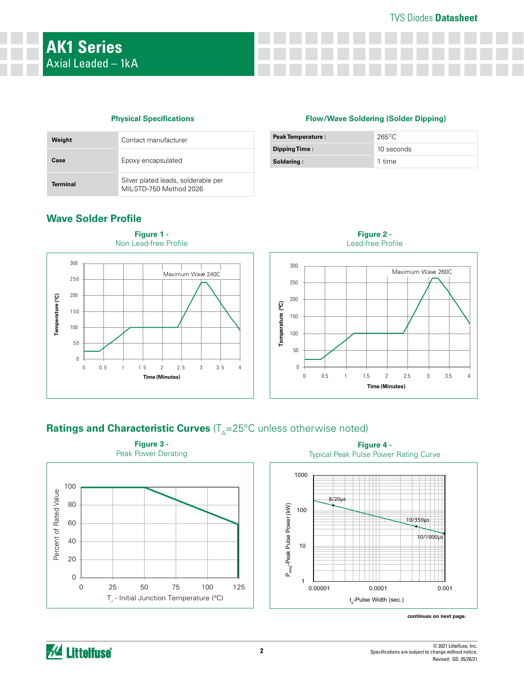### TVS Diodes **Datasheet**

#### **Physical Specifications**

| Weight   | Contact manufacturer                                           |
|----------|----------------------------------------------------------------|
| Case     | Epoxy encapsulated                                             |
| Terminal | Silver plated leads, solderable per<br>MIL-STD-750 Method 2026 |

# **Flow/Wave Soldering (Solder Dipping)**

| <b>Peak Temperature:</b> | $265\degree C$ |
|--------------------------|----------------|
| Dipping Time:            | 10 seconds     |
| Soldering:               | 1 time         |

**Figure 2 -** 



## **Wave Solder Profile**



# **Ratings and Characteristic Curves** (T<sub>A</sub>=25°C unless otherwise noted)





**continues on next page.**